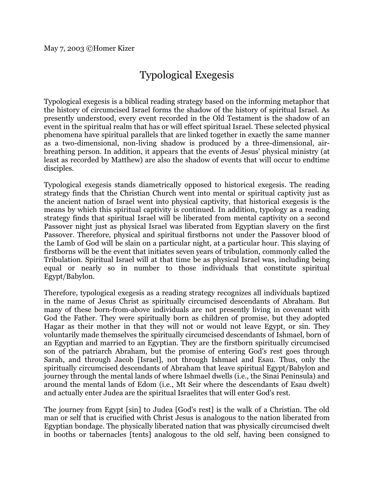## Typological Exegesis

Typological exegesis is a biblical reading strategy based on the informing metaphor that the history of circumcised Israel forms the shadow of the history of spiritual Israel. As presently understood, every event recorded in the Old Testament is the shadow of an event in the spiritual realm that has or will effect spiritual Israel. These selected physical phenomena have spiritual parallels that are linked together in exactly the same manner as a two-dimensional, non-living shadow is produced by a three-dimensional, airbreathing person. In addition, it appears that the events of Jesus' physical ministry (at least as recorded by Matthew) are also the shadow of events that will occur to endtime disciples.

Typological exegesis stands diametrically opposed to historical exegesis. The reading strategy finds that the Christian Church went into mental or spiritual captivity just as the ancient nation of Israel went into physical captivity, that historical exegesis is the means by which this spiritual captivity is continued. In addition, typology as a reading strategy finds that spiritual Israel will be liberated from mental captivity on a second Passover night just as physical Israel was liberated from Egyptian slavery on the first Passover. Therefore, physical and spiritual firstborns not under the Passover blood of the Lamb of God will be slain on a particular night, at a particular hour. This slaying of firstborns will be the event that initiates seven years of tribulation, commonly called the Tribulation. Spiritual Israel will at that time be as physical Israel was, including being equal or nearly so in number to those individuals that constitute spiritual Egypt/Babylon.

Therefore, typological exegesis as a reading strategy recognizes all individuals baptized in the name of Jesus Christ as spiritually circumcised descendants of Abraham. But many of these born-from-above individuals are not presently living in covenant with God the Father. They were spiritually born as children of promise, but they adopted Hagar as their mother in that they will not or would not leave Egypt, or sin. They voluntarily made themselves the spiritually circumcised descendants of Ishmael, born of an Egyptian and married to an Egyptian. They are the firstborn spiritually circumcised son of the patriarch Abraham, but the promise of entering God's rest goes through Sarah, and through Jacob [Israel], not through Ishmael and Esau. Thus, only the spiritually circumcised descendants of Abraham that leave spiritual Egypt/Babylon and journey through the mental lands of where Ishmael dwells (i.e., the Sinai Peninsula) and around the mental lands of Edom (i.e., Mt Seir where the descendants of Esau dwelt) and actually enter Judea are the spiritual Israelites that will enter God's rest.

The journey from Egypt [sin] to Judea [God's rest] is the walk of a Christian. The old man or self that is crucified with Christ Jesus is analogous to the nation liberated from Egyptian bondage. The physically liberated nation that was physically circumcised dwelt in booths or tabernacles [tents] analogous to the old self, having been consigned to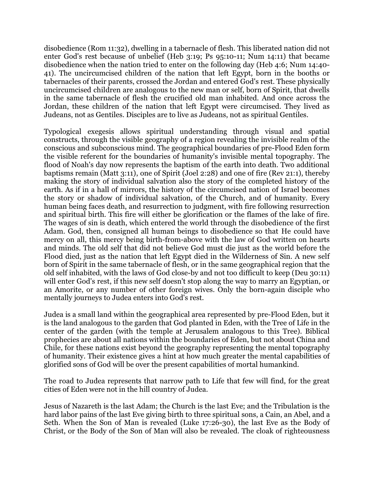disobedience (Rom 11:32), dwelling in a tabernacle of flesh. This liberated nation did not enter God's rest because of unbelief (Heb 3:19; Ps 95:10-11; Num 14:11) that became disobedience when the nation tried to enter on the following day (Heb 4:6; Num 14:40- 41). The uncircumcised children of the nation that left Egypt, born in the booths or tabernacles of their parents, crossed the Jordan and entered God's rest. These physically uncircumcised children are analogous to the new man or self, born of Spirit, that dwells in the same tabernacle of flesh the crucified old man inhabited. And once across the Jordan, these children of the nation that left Egypt were circumcised. They lived as Judeans, not as Gentiles. Disciples are to live as Judeans, not as spiritual Gentiles.

Typological exegesis allows spiritual understanding through visual and spatial constructs, through the visible geography of a region revealing the invisible realm of the conscious and subconscious mind. The geographical boundaries of pre-Flood Eden form the visible referent for the boundaries of humanity's invisible mental topography. The flood of Noah's day now represents the baptism of the earth into death. Two additional baptisms remain (Matt 3:11), one of Spirit (Joel 2:28) and one of fire (Rev 21:1), thereby making the story of individual salvation also the story of the completed history of the earth. As if in a hall of mirrors, the history of the circumcised nation of Israel becomes the story or shadow of individual salvation, of the Church, and of humanity. Every human being faces death, and resurrection to judgment, with fire following resurrection and spiritual birth. This fire will either be glorification or the flames of the lake of fire. The wages of sin is death, which entered the world through the disobedience of the first Adam. God, then, consigned all human beings to disobedience so that He could have mercy on all, this mercy being birth-from-above with the law of God written on hearts and minds. The old self that did not believe God must die just as the world before the Flood died, just as the nation that left Egypt died in the Wilderness of Sin. A new self born of Spirit in the same tabernacle of flesh, or in the same geographical region that the old self inhabited, with the laws of God close-by and not too difficult to keep (Deu 30:11) will enter God's rest, if this new self doesn't stop along the way to marry an Egyptian, or an Amorite, or any number of other foreign wives. Only the born-again disciple who mentally journeys to Judea enters into God's rest.

Judea is a small land within the geographical area represented by pre-Flood Eden, but it is the land analogous to the garden that God planted in Eden, with the Tree of Life in the center of the garden (with the temple at Jerusalem analogous to this Tree). Biblical prophecies are about all nations within the boundaries of Eden, but not about China and Chile, for these nations exist beyond the geography representing the mental topography of humanity. Their existence gives a hint at how much greater the mental capabilities of glorified sons of God will be over the present capabilities of mortal humankind.

The road to Judea represents that narrow path to Life that few will find, for the great cities of Eden were not in the hill country of Judea.

Jesus of Nazareth is the last Adam; the Church is the last Eve; and the Tribulation is the hard labor pains of the last Eve giving birth to three spiritual sons, a Cain, an Abel, and a Seth. When the Son of Man is revealed (Luke 17:26-30), the last Eve as the Body of Christ, or the Body of the Son of Man will also be revealed. The cloak of righteousness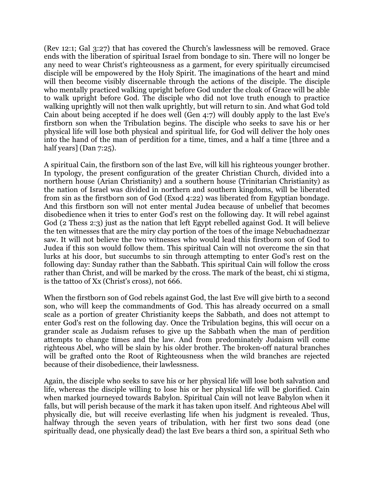(Rev 12:1; Gal 3:27) that has covered the Church's lawlessness will be removed. Grace ends with the liberation of spiritual Israel from bondage to sin. There will no longer be any need to wear Christ's righteousness as a garment, for every spiritually circumcised disciple will be empowered by the Holy Spirit. The imaginations of the heart and mind will then become visibly discernable through the actions of the disciple. The disciple who mentally practiced walking upright before God under the cloak of Grace will be able to walk upright before God. The disciple who did not love truth enough to practice walking uprightly will not then walk uprightly, but will return to sin. And what God told Cain about being accepted if he does well (Gen 4:7) will doubly apply to the last Eve's firstborn son when the Tribulation begins. The disciple who seeks to save his or her physical life will lose both physical and spiritual life, for God will deliver the holy ones into the hand of the man of perdition for a time, times, and a half a time [three and a half years] (Dan 7:25).

A spiritual Cain, the firstborn son of the last Eve, will kill his righteous younger brother. In typology, the present configuration of the greater Christian Church, divided into a northern house (Arian Christianity) and a southern house (Trinitarian Christianity) as the nation of Israel was divided in northern and southern kingdoms, will be liberated from sin as the firstborn son of God (Exod 4:22) was liberated from Egyptian bondage. And this firstborn son will not enter mental Judea because of unbelief that becomes disobedience when it tries to enter God's rest on the following day. It will rebel against God (2 Thess 2:3) just as the nation that left Egypt rebelled against God. It will believe the ten witnesses that are the miry clay portion of the toes of the image Nebuchadnezzar saw. It will not believe the two witnesses who would lead this firstborn son of God to Judea if this son would follow them. This spiritual Cain will not overcome the sin that lurks at his door, but succumbs to sin through attempting to enter God's rest on the following day: Sunday rather than the Sabbath. This spiritual Cain will follow the cross rather than Christ, and will be marked by the cross. The mark of the beast, chi xi stigma, is the tattoo of Xx (Christ's cross), not 666.

When the firstborn son of God rebels against God, the last Eve will give birth to a second son, who will keep the commandments of God. This has already occurred on a small scale as a portion of greater Christianity keeps the Sabbath, and does not attempt to enter God's rest on the following day. Once the Tribulation begins, this will occur on a grander scale as Judaism refuses to give up the Sabbath when the man of perdition attempts to change times and the law. And from predominately Judaism will come righteous Abel, who will be slain by his older brother. The broken-off natural branches will be grafted onto the Root of Righteousness when the wild branches are rejected because of their disobedience, their lawlessness.

Again, the disciple who seeks to save his or her physical life will lose both salvation and life, whereas the disciple willing to lose his or her physical life will be glorified. Cain when marked journeyed towards Babylon. Spiritual Cain will not leave Babylon when it falls, but will perish because of the mark it has taken upon itself. And righteous Abel will physically die, but will receive everlasting life when his judgment is revealed. Thus, halfway through the seven years of tribulation, with her first two sons dead (one spiritually dead, one physically dead) the last Eve bears a third son, a spiritual Seth who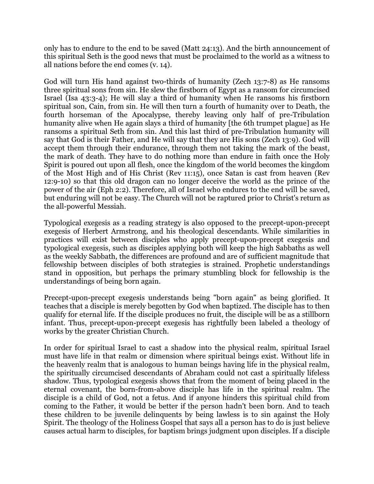only has to endure to the end to be saved (Matt 24:13). And the birth announcement of this spiritual Seth is the good news that must be proclaimed to the world as a witness to all nations before the end comes (v. 14).

God will turn His hand against two-thirds of humanity (Zech 13:7-8) as He ransoms three spiritual sons from sin. He slew the firstborn of Egypt as a ransom for circumcised Israel (Isa 43:3-4); He will slay a third of humanity when He ransoms his firstborn spiritual son, Cain, from sin. He will then turn a fourth of humanity over to Death, the fourth horseman of the Apocalypse, thereby leaving only half of pre-Tribulation humanity alive when He again slays a third of humanity [the 6th trumpet plague] as He ransoms a spiritual Seth from sin. And this last third of pre-Tribulation humanity will say that God is their Father, and He will say that they are His sons (Zech 13:9). God will accept them through their endurance, through them not taking the mark of the beast, the mark of death. They have to do nothing more than endure in faith once the Holy Spirit is poured out upon all flesh, once the kingdom of the world becomes the kingdom of the Most High and of His Christ (Rev 11:15), once Satan is cast from heaven (Rev 12:9-10) so that this old dragon can no longer deceive the world as the prince of the power of the air (Eph 2:2). Therefore, all of Israel who endures to the end will be saved, but enduring will not be easy. The Church will not be raptured prior to Christ's return as the all-powerful Messiah.

Typological exegesis as a reading strategy is also opposed to the precept-upon-precept exegesis of Herbert Armstrong, and his theological descendants. While similarities in practices will exist between disciples who apply precept-upon-precept exegesis and typological exegesis, such as disciples applying both will keep the high Sabbaths as well as the weekly Sabbath, the differences are profound and are of sufficient magnitude that fellowship between disciples of both strategies is strained. Prophetic understandings stand in opposition, but perhaps the primary stumbling block for fellowship is the understandings of being born again.

Precept-upon-precept exegesis understands being "born again" as being glorified. It teaches that a disciple is merely begotten by God when baptized. The disciple has to then qualify for eternal life. If the disciple produces no fruit, the disciple will be as a stillborn infant. Thus, precept-upon-precept exegesis has rightfully been labeled a theology of works by the greater Christian Church.

In order for spiritual Israel to cast a shadow into the physical realm, spiritual Israel must have life in that realm or dimension where spiritual beings exist. Without life in the heavenly realm that is analogous to human beings having life in the physical realm, the spiritually circumcised descendants of Abraham could not cast a spiritually lifeless shadow. Thus, typological exegesis shows that from the moment of being placed in the eternal covenant, the born-from-above disciple has life in the spiritual realm. The disciple is a child of God, not a fetus. And if anyone hinders this spiritual child from coming to the Father, it would be better if the person hadn't been born. And to teach these children to be juvenile delinquents by being lawless is to sin against the Holy Spirit. The theology of the Holiness Gospel that says all a person has to do is just believe causes actual harm to disciples, for baptism brings judgment upon disciples. If a disciple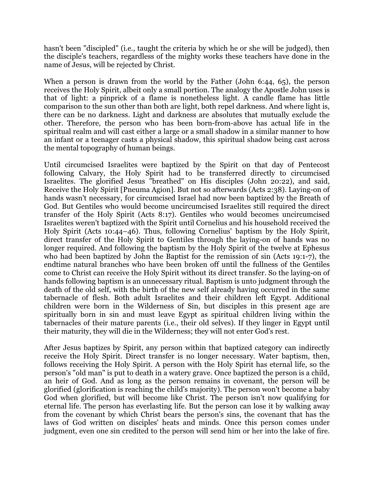hasn't been "discipled" (i.e., taught the criteria by which he or she will be judged), then the disciple's teachers, regardless of the mighty works these teachers have done in the name of Jesus, will be rejected by Christ.

When a person is drawn from the world by the Father (John 6:44, 65), the person receives the Holy Spirit, albeit only a small portion. The analogy the Apostle John uses is that of light: a pinprick of a flame is nonetheless light. A candle flame has little comparison to the sun other than both are light, both repel darkness. And where light is, there can be no darkness. Light and darkness are absolutes that mutually exclude the other. Therefore, the person who has been born-from-above has actual life in the spiritual realm and will cast either a large or a small shadow in a similar manner to how an infant or a teenager casts a physical shadow, this spiritual shadow being cast across the mental topography of human beings.

Until circumcised Israelites were baptized by the Spirit on that day of Pentecost following Calvary, the Holy Spirit had to be transferred directly to circumcised Israelites. The glorified Jesus "breathed" on His disciples (John 20:22), and said, Receive the Holy Spirit [Pneuma Agion]. But not so afterwards (Acts 2:38). Laying-on of hands wasn't necessary, for circumcised Israel had now been baptized by the Breath of God. But Gentiles who would become uncircumcised Israelites still required the direct transfer of the Holy Spirit (Acts 8:17). Gentiles who would becomes uncircumcised Israelites weren't baptized with the Spirit until Cornelius and his household received the Holy Spirit (Acts 10:44–46). Thus, following Cornelius' baptism by the Holy Spirit, direct transfer of the Holy Spirit to Gentiles through the laying-on of hands was no longer required. And following the baptism by the Holy Spirit of the twelve at Ephesus who had been baptized by John the Baptist for the remission of sin (Acts 19:1-7), the endtime natural branches who have been broken off until the fullness of the Gentiles come to Christ can receive the Holy Spirit without its direct transfer. So the laying-on of hands following baptism is an unnecessary ritual. Baptism is unto judgment through the death of the old self, with the birth of the new self already having occurred in the same tabernacle of flesh. Both adult Israelites and their children left Egypt. Additional children were born in the Wilderness of Sin, but disciples in this present age are spiritually born in sin and must leave Egypt as spiritual children living within the tabernacles of their mature parents (i.e., their old selves). If they linger in Egypt until their maturity, they will die in the Wilderness; they will not enter God's rest.

After Jesus baptizes by Spirit, any person within that baptized category can indirectly receive the Holy Spirit. Direct transfer is no longer necessary. Water baptism, then, follows receiving the Holy Spirit. A person with the Holy Spirit has eternal life, so the person's "old man" is put to death in a watery grave. Once baptized the person is a child, an heir of God. And as long as the person remains in covenant, the person will be glorified (glorification is reaching the child's majority). The person won't become a baby God when glorified, but will become like Christ. The person isn't now qualifying for eternal life. The person has everlasting life. But the person can lose it by walking away from the covenant by which Christ bears the person's sins, the covenant that has the laws of God written on disciples' heats and minds. Once this person comes under judgment, even one sin credited to the person will send him or her into the lake of fire.